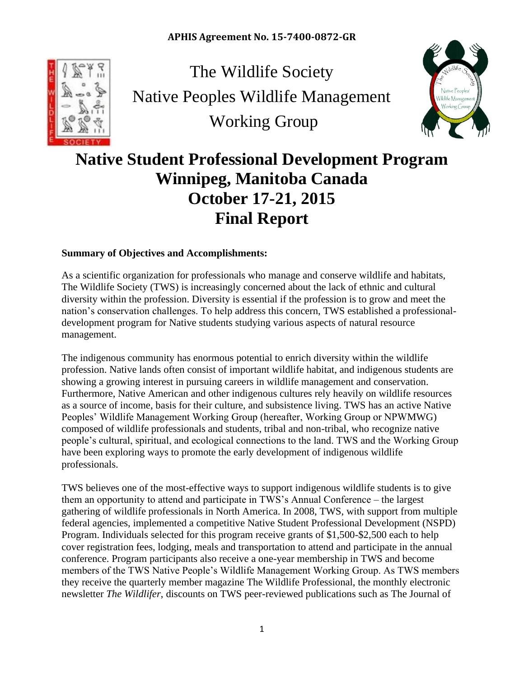

The Wildlife Society Native Peoples Wildlife Management Working Group



# **Native Student Professional Development Program Winnipeg, Manitoba Canada October 17-21, 2015 Final Report**

## **Summary of Objectives and Accomplishments:**

As a scientific organization for professionals who manage and conserve wildlife and habitats, The Wildlife Society (TWS) is increasingly concerned about the lack of ethnic and cultural diversity within the profession. Diversity is essential if the profession is to grow and meet the nation's conservation challenges. To help address this concern, TWS established a professionaldevelopment program for Native students studying various aspects of natural resource management.

The indigenous community has enormous potential to enrich diversity within the wildlife profession. Native lands often consist of important wildlife habitat, and indigenous students are showing a growing interest in pursuing careers in wildlife management and conservation. Furthermore, Native American and other indigenous cultures rely heavily on wildlife resources as a source of income, basis for their culture, and subsistence living. TWS has an active Native Peoples' Wildlife Management Working Group (hereafter, Working Group or NPWMWG) composed of wildlife professionals and students, tribal and non-tribal, who recognize native people's cultural, spiritual, and ecological connections to the land. TWS and the Working Group have been exploring ways to promote the early development of indigenous wildlife professionals.

TWS believes one of the most-effective ways to support indigenous wildlife students is to give them an opportunity to attend and participate in TWS's Annual Conference – the largest gathering of wildlife professionals in North America. In 2008, TWS, with support from multiple federal agencies, implemented a competitive Native Student Professional Development (NSPD) Program. Individuals selected for this program receive grants of \$1,500-\$2,500 each to help cover registration fees, lodging, meals and transportation to attend and participate in the annual conference. Program participants also receive a one-year membership in TWS and become members of the TWS Native People's Wildlife Management Working Group. As TWS members they receive the quarterly member magazine The Wildlife Professional, the monthly electronic newsletter *The Wildlifer*, discounts on TWS peer-reviewed publications such as The Journal of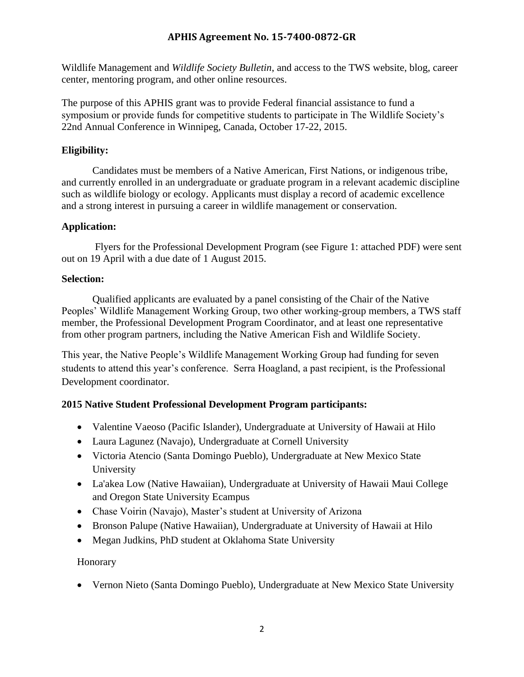Wildlife Management and *Wildlife Society Bulletin*, and access to the TWS website, blog, career center, mentoring program, and other online resources.

The purpose of this APHIS grant was to provide Federal financial assistance to fund a symposium or provide funds for competitive students to participate in The Wildlife Society's 22nd Annual Conference in Winnipeg, Canada, October 17-22, 2015.

## **Eligibility:**

Candidates must be members of a Native American, First Nations, or indigenous tribe, and currently enrolled in an undergraduate or graduate program in a relevant academic discipline such as wildlife biology or ecology. Applicants must display a record of academic excellence and a strong interest in pursuing a career in wildlife management or conservation.

## **Application:**

Flyers for the Professional Development Program (see Figure 1: attached PDF) were sent out on 19 April with a due date of 1 August 2015.

#### **Selection:**

Qualified applicants are evaluated by a panel consisting of the Chair of the Native Peoples' Wildlife Management Working Group, two other working-group members, a TWS staff member, the Professional Development Program Coordinator, and at least one representative from other program partners, including the Native American Fish and Wildlife Society.

This year, the Native People's Wildlife Management Working Group had funding for seven students to attend this year's conference. Serra Hoagland, a past recipient, is the Professional Development coordinator.

# **2015 Native Student Professional Development Program participants:**

- Valentine Vaeoso (Pacific Islander), Undergraduate at University of Hawaii at Hilo
- Laura Lagunez (Navajo), Undergraduate at Cornell University
- Victoria Atencio (Santa Domingo Pueblo), Undergraduate at New Mexico State University
- La'akea Low (Native Hawaiian), Undergraduate at University of Hawaii Maui College and Oregon State University Ecampus
- Chase Voirin (Navajo), Master's student at University of Arizona
- Bronson Palupe (Native Hawaiian), Undergraduate at University of Hawaii at Hilo
- Megan Judkins, PhD student at Oklahoma State University

#### Honorary

• Vernon Nieto (Santa Domingo Pueblo), Undergraduate at New Mexico State University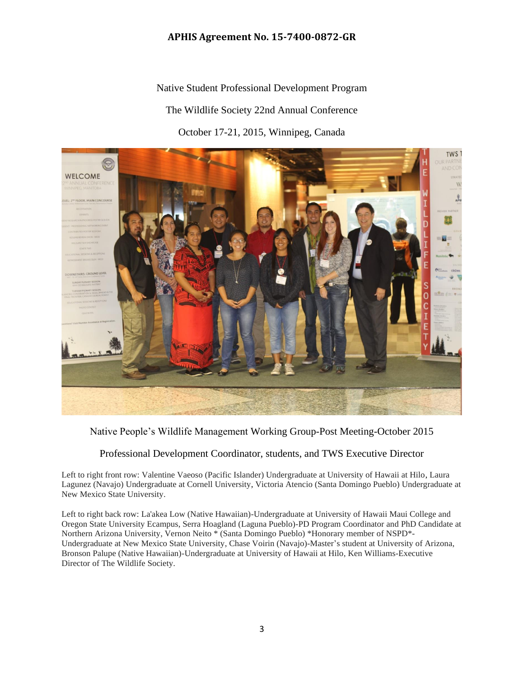Native Student Professional Development Program The Wildlife Society 22nd Annual Conference October 17-21, 2015, Winnipeg, Canada



Native People's Wildlife Management Working Group-Post Meeting-October 2015

#### Professional Development Coordinator, students, and TWS Executive Director

Left to right front row: Valentine Vaeoso (Pacific Islander) Undergraduate at University of Hawaii at Hilo, Laura Lagunez (Navajo) Undergraduate at Cornell University, Victoria Atencio (Santa Domingo Pueblo) Undergraduate at New Mexico State University.

Left to right back row: La'akea Low (Native Hawaiian)-Undergraduate at University of Hawaii Maui College and Oregon State University Ecampus, Serra Hoagland (Laguna Pueblo)-PD Program Coordinator and PhD Candidate at Northern Arizona University, Vernon Neito \* (Santa Domingo Pueblo) \*Honorary member of NSPD\*- Undergraduate at New Mexico State University, Chase Voirin (Navajo)-Master's student at University of Arizona, Bronson Palupe (Native Hawaiian)-Undergraduate at University of Hawaii at Hilo, Ken Williams-Executive Director of The Wildlife Society.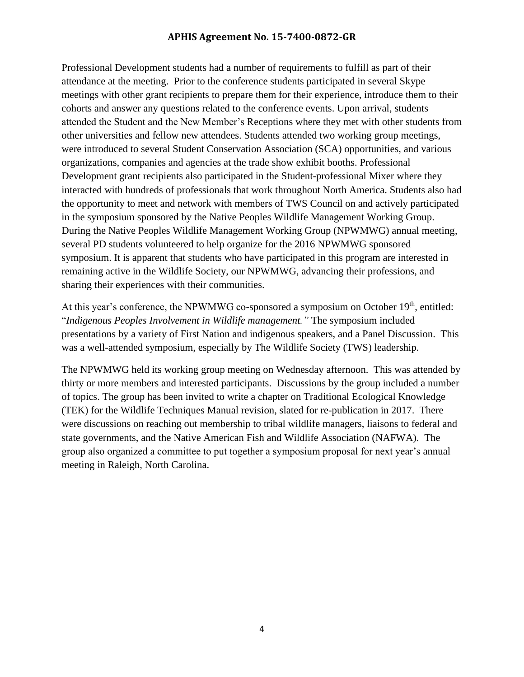Professional Development students had a number of requirements to fulfill as part of their attendance at the meeting. Prior to the conference students participated in several Skype meetings with other grant recipients to prepare them for their experience, introduce them to their cohorts and answer any questions related to the conference events. Upon arrival, students attended the Student and the New Member's Receptions where they met with other students from other universities and fellow new attendees. Students attended two working group meetings, were introduced to several Student Conservation Association (SCA) opportunities, and various organizations, companies and agencies at the trade show exhibit booths. Professional Development grant recipients also participated in the Student-professional Mixer where they interacted with hundreds of professionals that work throughout North America. Students also had the opportunity to meet and network with members of TWS Council on and actively participated in the symposium sponsored by the Native Peoples Wildlife Management Working Group. During the Native Peoples Wildlife Management Working Group (NPWMWG) annual meeting, several PD students volunteered to help organize for the 2016 NPWMWG sponsored symposium. It is apparent that students who have participated in this program are interested in remaining active in the Wildlife Society, our NPWMWG, advancing their professions, and sharing their experiences with their communities.

At this year's conference, the NPWMWG co-sponsored a symposium on October 19<sup>th</sup>, entitled: "*Indigenous Peoples Involvement in Wildlife management."* The symposium included presentations by a variety of First Nation and indigenous speakers, and a Panel Discussion. This was a well-attended symposium, especially by The Wildlife Society (TWS) leadership.

The NPWMWG held its working group meeting on Wednesday afternoon. This was attended by thirty or more members and interested participants. Discussions by the group included a number of topics. The group has been invited to write a chapter on Traditional Ecological Knowledge (TEK) for the Wildlife Techniques Manual revision, slated for re-publication in 2017. There were discussions on reaching out membership to tribal wildlife managers, liaisons to federal and state governments, and the Native American Fish and Wildlife Association (NAFWA). The group also organized a committee to put together a symposium proposal for next year's annual meeting in Raleigh, North Carolina.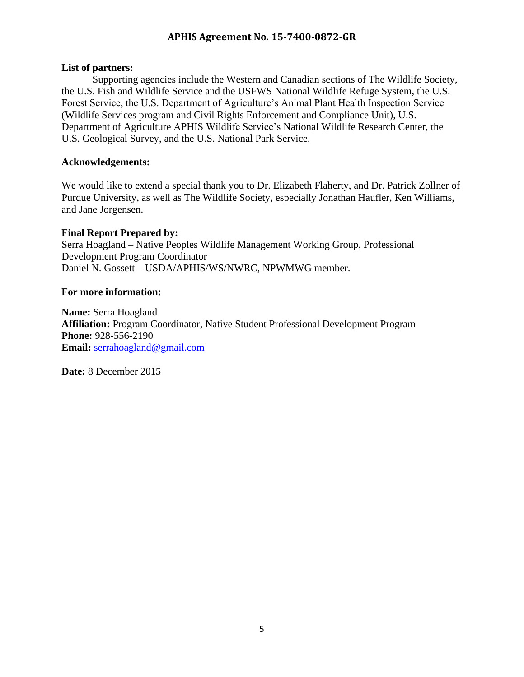#### **List of partners:**

Supporting agencies include the Western and Canadian sections of The Wildlife Society, the U.S. Fish and Wildlife Service and the USFWS National Wildlife Refuge System, the U.S. Forest Service, the U.S. Department of Agriculture's Animal Plant Health Inspection Service (Wildlife Services program and Civil Rights Enforcement and Compliance Unit), U.S. Department of Agriculture APHIS Wildlife Service's National Wildlife Research Center, the U.S. Geological Survey, and the U.S. National Park Service.

#### **Acknowledgements:**

We would like to extend a special thank you to Dr. Elizabeth Flaherty, and Dr. Patrick Zollner of Purdue University, as well as The Wildlife Society, especially Jonathan Haufler, Ken Williams, and Jane Jorgensen.

#### **Final Report Prepared by:**

Serra Hoagland – Native Peoples Wildlife Management Working Group, Professional Development Program Coordinator Daniel N. Gossett – USDA/APHIS/WS/NWRC, NPWMWG member.

#### **For more information:**

**Name:** Serra Hoagland **Affiliation:** Program Coordinator, Native Student Professional Development Program **Phone:** 928-556-2190 **Email:** [serrahoagland@gmail.com](mailto:serrahoagland@gmail.com)

**Date:** 8 December 2015